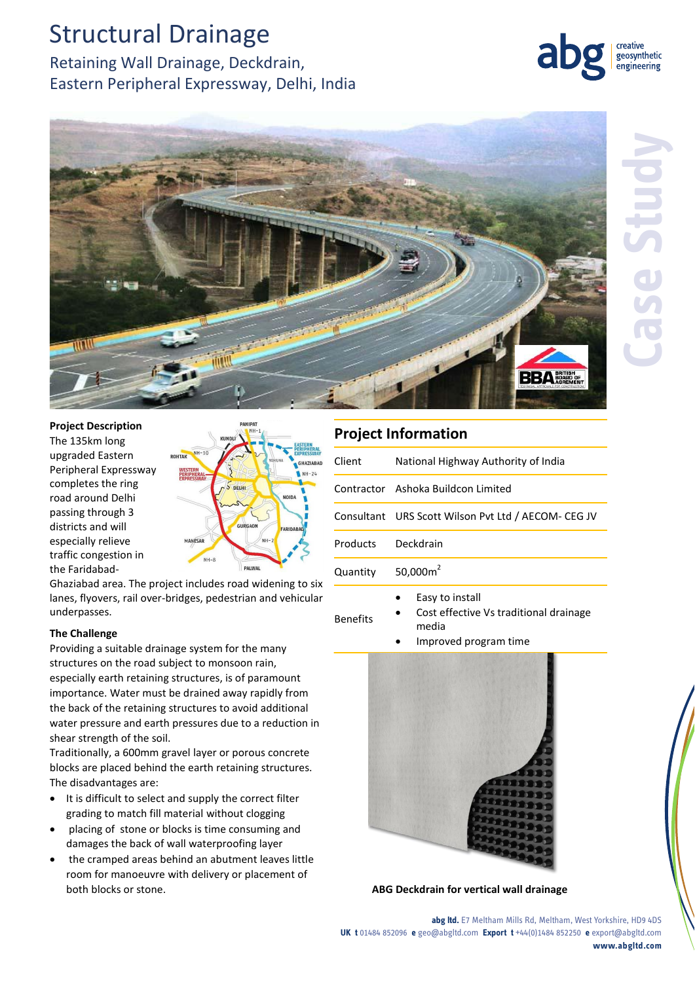# Structural Drainage

Retaining Wall Drainage, Deckdrain, Eastern Peripheral Expressway, Delhi, India



**GHAZIARAE**  $4H - 24$ 

creative geosynthetic engineering

### **Project Description** The 135km long upgraded Eastern Peripheral Expressway completes the ring road around Delhi passing through 3 districts and will especially relieve traffic congestion in the Faridabad-

 $NH - 8$ PALWAL Ghaziabad area. The project includes road widening to six lanes, flyovers, rail over-bridges, pedestrian and vehicular underpasses.

MANESAR

GURGAON

### **The Challenge**

Providing a suitable drainage system for the many structures on the road subject to monsoon rain, especially earth retaining structures, is of paramount importance. Water must be drained away rapidly from the back of the retaining structures to avoid additional water pressure and earth pressures due to a reduction in shear strength of the soil.

Traditionally, a 600mm gravel layer or porous concrete blocks are placed behind the earth retaining structures. The disadvantages are:

- It is difficult to select and supply the correct filter grading to match fill material without clogging
- placing of stone or blocks is time consuming and damages the back of wall waterproofing layer
- the cramped areas behind an abutment leaves little room for manoeuvre with delivery or placement of both blocks or stone. **ABG Deckdrain for vertical wall drainage**

### **Project Information**

| Client   | National Highway Authority of India                 |
|----------|-----------------------------------------------------|
|          | Contractor Ashoka Buildcon Limited                  |
|          | Consultant URS Scott Wilson Pvt Ltd / AECOM- CEG JV |
| Products | Deckdrain                                           |
| Quantity | 50,000 $m2$                                         |
|          | Easy to install                                     |

- Benefits Cost effective Vs traditional drainage media
	- Improved program time



**abg ltd.** E7 Meltham Mills Rd, Meltham, West Yorkshire, HD9 4DS **UK t** 01484 852096 **e** geo@abgltd.com **Export t** +44(0)1484 852250 **e** export@abgltd.com **www.abgltd.com**